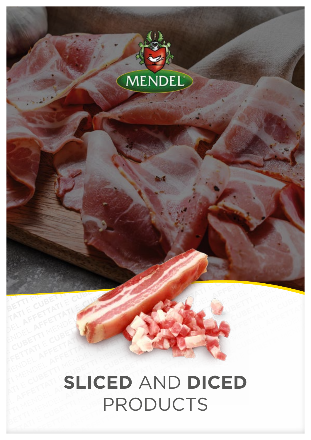

### **SLICED** AND **DICED** PRODUCTS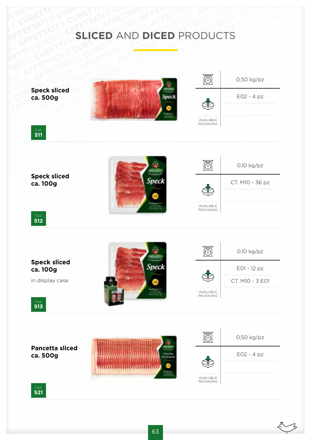## AFFETTATIE CUBETTI E CUBETTI E CUBETTI AFFETTATIE AFFETTATIE CUBETTI AFFETTATIE CUBETTI AFFETTATIE MENDEL AFFETTATIE CUBETTATIE CUBETTATIE<br>AFFETTATIE CUBETTATIE AFFETTATIEFETTATIE CUBETTI CUBETTI CUBETTATIE CURETTATIE CUBETTATIE E AFFETTATI CUBETTI E CUBETTATI E CUBETTATI E CUBETTATI E CUBETTATI E CUBETTATI E CUBETTATI E CUBETTI AFFETTATI A<br>AFFETTATI A MENDEL A SLICED AND DICED PRODUCTS **SLICED** AND **DICED** PRODUCTS

**Speck sliced ca. 500g**







**Speck sliced ca. 100g**





Cod. **512**

#### **Speck sliced ca. 100g**

in display case













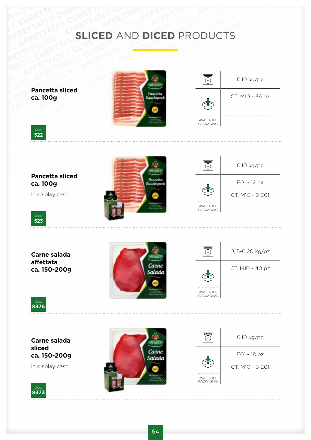# AFFETTATIE CUBETTI E CUBETTI E CUBETTI AFFETTATIE AFFETTATIE CUBETTI AFFETTATIE CUBETTI AFFETTATIE **SLICED** AND **DICED** PRODUCTS

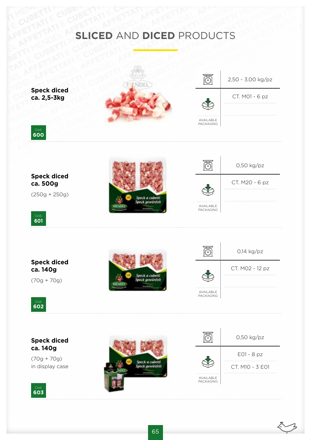## AFFETTATIE CUBETTI E CUBETTI E CUBETTI AFFETTATIE AFFETTATIE CUBETTI AFFETTATIE CUBETTI AFFETTATIE MENDEL AFFETTATIE CUBETTATIE CUBETTATIE<br>AFFETTATIE CUBETTATIE AFFETTATIEFETTATIE CUBETTI CUBETTI CUBETTATIE CUBETTATIE CUBETTATIE E AFFETTATI CUBETTI E CUBETTATI E CUBETTATI E CUBETTATI E CUBETTATI E CUBETTATI E CUBETTATI E CUBETTI AFFETTATI E<br>AFFETTATI A CUBETTI MENDEL AND DICED PRODUCTS **SLICED AND DICED PRODUCTS**

**Speck diced ca. 2,5-3kg**





Cod. **600**

**Speck diced ca. 500g**

(250g + 250g)



|                          | $0,50$ kg/pz   |
|--------------------------|----------------|
|                          | CT. M20 - 6 pz |
| AVAII ABI F<br>PACKAGING |                |

Cod. **601**

#### **Speck diced ca. 140g**

(70g + 70g)





Cod. **602**

#### **Speck diced ca. 140g**

(70g + 70g) in display case





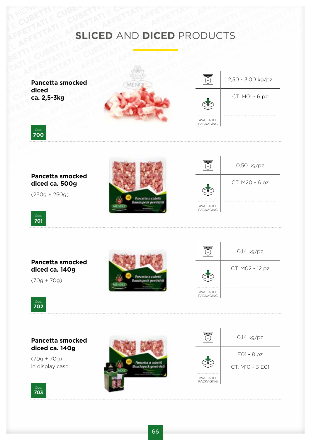## AFFETTATIE CUBETTI E CUBETTI E CUBETTI AFFETTATIE AFFETTATIE CUBETTI AFFETTATIE CUBETTI AFFETTATIE MENDEL AFFETTATIE CUBETTATIE CUBETTATIE<br>AFFETTATIE CUBETTATIE AFFETTATIEFETTATIE CUBETTI CUBETTI CUBETTATIE CUBETTATIE CUBETTATIE E AFFETTATI CUBETTI E CUBETTATI E CUBETTATI E CUBETTATI E CUBETTATI E CUBETTATI E CUBETTATI E CUBETTI AFFETTATI CUBETTI ATTUNDEL A TENERICUS CUBETTI ATTUNDEL A TENERICUS CUBETTI ATTUNDEL A TENERICUS CUBETTI ATTUNDEL A TENE **SLICED AND DICED PRODUCTS**

**Pancetta smocked diced ca. 2,5-3kg**







**Pancetta smocked diced ca. 500g**

(250g + 250g)







#### **Pancetta smocked diced ca. 140g**

(70g + 70g)







#### **Pancetta smocked diced ca. 140g**

(70g + 70g) in display case